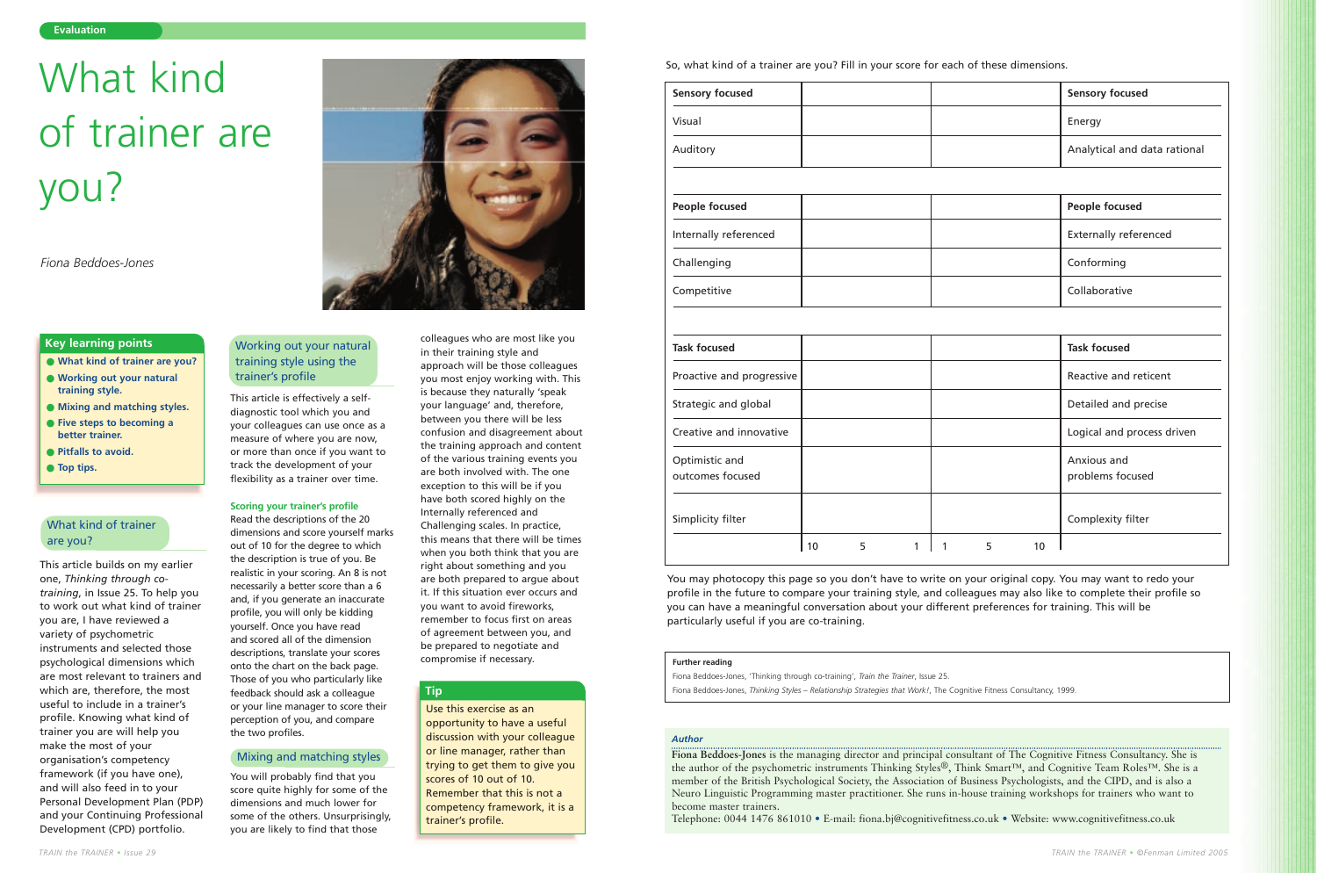This article builds on my earlier one, *Thinking through cotraining*, in Issue 25. To help you to work out what kind of trainer you are, I have reviewed a variety of psychometric instruments and selected those psychological dimensions which are most relevant to trainers and which are, therefore, the most useful to include in a trainer's profile. Knowing what kind of trainer you are will help you make the most of your organisation's competency framework (if you have one), and will also feed in to your Personal Development Plan (PDP) and your Continuing Professional Development (CPD) portfolio.

This article is effectively a selfdiagnostic tool which you and your colleagues can use once as a measure of where you are now, or more than once if you want to track the development of your flexibility as a trainer over time.

#### **Scoring your trainer's profile**

Read the descriptions of the 20 dimensions and score yourself marks out of 10 for the degree to which the description is true of you. Be realistic in your scoring. An 8 is not necessarily a better score than a 6 and, if you generate an inaccurate profile, you will only be kidding yourself. Once you have read and scored all of the dimension descriptions, translate your scores onto the chart on the back page. Those of you who particularly like feedback should ask a colleague or your line manager to score their perception of you, and compare the two profiles.

You will probably find that you score quite highly for some of the dimensions and much lower for some of the others. Unsurprisingly, you are likely to find that those

colleagues who are most like you in their training style and approach will be those colleagues you most enjoy working with. This is because they naturally 'speak your language' and, therefore, between you there will be less confusion and disagreement about the training approach and content of the various training events you are both involved with. The one exception to this will be if you have both scored highly on the Internally referenced and Challenging scales. In practice, this means that there will be times when you both think that you are right about something and you are both prepared to argue about it. If this situation ever occurs and you want to avoid fireworks, remember to focus first on areas of agreement between you, and be prepared to negotiate and compromise if necessary.

#### **Evaluation**

- **What kind of trainer are you?**
- **Working out your natural training style.**
- **Mixing and matching styles.**
- **Five steps to becoming a better trainer.**
- **Pitfalls to avoid.**
- **Top tips.**

#### **Key learning points**

#### *Author*

**Fiona Beddoes-Jones** is the managing director and principal consultant of The Cognitive Fitness Consultancy. She is the author of the psychometric instruments Thinking Styles®, Think Smart™, and Cognitive Team Roles™. She is a member of the British Psychological Society, the Association of Business Psychologists, and the CIPD, and is also a Neuro Linguistic Programming master practitioner. She runs in-house training workshops for trainers who want to become master trainers.

Telephone: 0044 1476 861010 • E-mail: fiona.bj@cognitivefitness.co.uk • Website: www.cognitivefitness.co.uk

So, what kind of a trainer are you? Fill in your score for each of these dimensions.

*Fiona Beddoes-Jones*

## What kind of trainer are you?

## What kind of trainer are you?

### Working out your natural training style using the trainer's profile

Use this exercise as an opportunity to have a useful discussion with your colleague or line manager, rather than trying to get them to give you scores of 10 out of 10. Remember that this is not a competency framework, it is a trainer's profile.

#### **Tip**

You may photocopy this page so you don't have to write on your original copy. You may want to redo your profile in the future to compare your training style, and colleagues may also like to complete their profile so you can have a meaningful conversation about your different preferences for training. This will be particularly useful if you are co-training.

#### **Further reading**

Fiona Beddoes-Jones, 'Thinking through co-training', *Train the Trainer*, Issue 25.

Fiona Beddoes-Jones, *Thinking Styles – Relationship Strategies that Work!*, The Cognitive Fitness Consultancy, 1999.

| <b>Sensory focused</b>             |    |   |   |   |   |    | <b>Sensory focused</b>          |
|------------------------------------|----|---|---|---|---|----|---------------------------------|
| Visual                             |    |   |   |   |   |    | Energy                          |
| Auditory                           |    |   |   |   |   |    | Analytical and data rational    |
|                                    |    |   |   |   |   |    |                                 |
| <b>People focused</b>              |    |   |   |   |   |    | <b>People focused</b>           |
| Internally referenced              |    |   |   |   |   |    | <b>Externally referenced</b>    |
| Challenging                        |    |   |   |   |   |    | Conforming                      |
| Competitive                        |    |   |   |   |   |    | Collaborative                   |
|                                    |    |   |   |   |   |    |                                 |
| <b>Task focused</b>                |    |   |   |   |   |    | <b>Task focused</b>             |
| Proactive and progressive          |    |   |   |   |   |    | Reactive and reticent           |
| Strategic and global               |    |   |   |   |   |    | Detailed and precise            |
| Creative and innovative            |    |   |   |   |   |    | Logical and process driven      |
| Optimistic and<br>outcomes focused |    |   |   |   |   |    | Anxious and<br>problems focused |
| Simplicity filter                  |    |   |   |   |   |    | Complexity filter               |
|                                    | 10 | 5 | 1 | 1 | 5 | 10 |                                 |

#### Mixing and matching styles